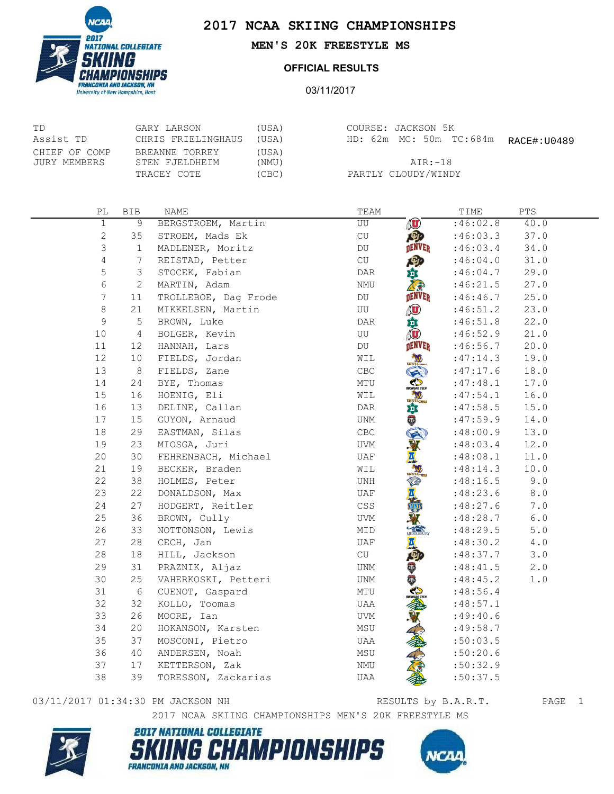

University of New Hampshire, Hast

## **2017 NCAA SKIING CHAMPIONSHIPS**

**MEN'S 20K FREESTYLE MS**

## **OFFICIAL RESULTS**

03/11/2017

| ТD                            | GARY LARSON                      | (USA)          |
|-------------------------------|----------------------------------|----------------|
| Assist TD                     | CHRIS FRIELINGHAUS               | (USA)          |
| CHIEF OF COMP<br>JURY MEMBERS | BREANNE TORREY<br>STEN FJELDHEIM | (USA)<br>(NMU) |
|                               | TRACEY COTE                      | (CBC)          |

| COURSE: JACKSON 5K |                         |             |
|--------------------|-------------------------|-------------|
|                    | HD: 62m MC: 50m TC:684m | RACE#:U0489 |

AIR:-18 PARTLY CLOUDY/WINDY

| РL             | <b>BIB</b>     | NAME                 | TEAM                                                                                   | TIME     | PTS         |
|----------------|----------------|----------------------|----------------------------------------------------------------------------------------|----------|-------------|
| $\mathbf{1}$   | $\mathcal{G}$  | BERGSTROEM, Martin   | O<br>UU                                                                                | :46:02.8 | 40.0        |
| $\mathbf{2}$   | 35             | STROEM, Mads Ek      | $\mathrm{CU}% _{T}=\mathrm{GL}_{T}\times\mathbb{C} ^{-1}\times\mathbb{C} ^{-1}$<br>ABD | :46:03.3 | 37.0        |
| 3              | $\mathbf{1}$   | MADLENER, Moritz     | DENVER<br>DU                                                                           | :46:03.4 | 34.0        |
| $\overline{4}$ | 7              | REISTAD, Petter      | 四<br>CU                                                                                | :46:04.0 | 31.0        |
| 5              | 3              | STOCEK, Fabian       | DAR<br>巔                                                                               | :46:04.7 | 29.0        |
| 6              | 2              | MARTIN, Adam         | NMU                                                                                    | :46:21.5 | 27.0        |
| 7              | 11             | TROLLEBOE, Dag Frode | <b>DENVER</b><br>DU                                                                    | :46:46.7 | 25.0        |
| 8              | 21             | MIKKELSEN, Martin    | $\textcircled{\textbf{t}}$<br>UU                                                       | :46:51.2 | 23.0        |
| 9              | 5              | BROWN, Luke          | 意应<br>$\mathsf{DAR}$                                                                   | :46:51.8 | 22.0        |
| 10             | $\overline{4}$ | BOLGER, Kevin        | UU                                                                                     | :46:52.9 | 21.0        |
| 11             | 12             | HANNAH, Lars         | DENVER<br>DU                                                                           | :46:56.7 | 20.0        |
| 12             | 10             | FIELDS, Jordan       | WIL                                                                                    | :47:14.3 | 19.0        |
| 13             | 8              | FIELDS, Zane         | $\mathsf{CBC}$<br>$\blacktriangleright$                                                | :47:17.6 | 18.0        |
| 14             | 24             | BYE, Thomas          | Ø<br>MTU<br>MICHIGAN TECH                                                              | :47:48.1 | 17.0        |
| 15             | 16             | HOENIG, Eli          | WIL<br>$w$ <sup>111</sup> $\frac{1}{2}$                                                | :47:54.1 | 16.0        |
| 16             | 13             | DELINE, Callan       | DAR<br>尊                                                                               | :47:58.5 | 15.0        |
| 17             | 15             | GUYON, Arnaud        | $\ddot{\circ}$<br>UNM                                                                  | :47:59.9 | 14.0        |
| 18             | 29             | EASTMAN, Silas       | CBC                                                                                    | :48:00.9 | 13.0        |
| 19             | 23             | MIOSGA, Juri         | UVM                                                                                    | :48:03.4 | 12.0        |
| 20             | 30             | FEHRENBACH, Michael  | UAF                                                                                    | :48:08.1 | 11.0        |
| 21             | 19             | BECKER, Braden       | WIL<br>Williams                                                                        | :48:14.3 | 10.0        |
| 22             | 38             | HOLMES, Peter        | UNH<br><b>TO</b>                                                                       | :48:16.5 | $9.0$       |
| 23             | 22             | DONALDSON, Max       | UAF                                                                                    | :48:23.6 | 8.0         |
| 24             | 27             | HODGERT, Reitler     | CSS                                                                                    | :48:27.6 | 7.0         |
| 25             | 36             | BROWN, Cully         | UVM                                                                                    | :48:28.7 | $6.0$       |
| 26             | 33             | NOTTONSON, Lewis     | <b>MIDDLEBURY</b><br>MID                                                               | :48:29.5 | $5.0$       |
| 27             | 28             | CECH, Jan            | Ж<br>UAF                                                                               | :48:30.2 | $4\,$ . $0$ |
| 28             | 18             | HILL, Jackson        | CU<br>吵                                                                                | :48:37.7 | 3.0         |
| 29             | 31             | PRAZNIK, Aljaz       | UNM<br>V                                                                               | :48:41.5 | 2.0         |
| 30             | 25             | VAHERKOSKI, Petteri  | <b>CO</b><br>UNM                                                                       | :48:45.2 | 1.0         |
| 31             | 6              | CUENOT, Gaspard      | MTU                                                                                    | :48:56.4 |             |
| 32             | 32             | KOLLO, Toomas        | UAA                                                                                    | :48:57.1 |             |
| 33             | 26             | MOORE, Ian           | UVM                                                                                    | :49:40.6 |             |
| 34             | 20             | HOKANSON, Karsten    | MSU                                                                                    | :49:58.7 |             |
| 35             | 37             | MOSCONI, Pietro      | UAA                                                                                    | :50:03.5 |             |
| 36             | 40             | ANDERSEN, Noah       | MSU                                                                                    | :50:20.6 |             |
| 37             | 17             | KETTERSON, Zak       | NMU                                                                                    | :50:32.9 |             |
| 38             | 39             | TORESSON, Zackarias  | UAA                                                                                    | :50:37.5 |             |

## 03/11/2017 01:34:30 PM JACKSON NH<br>RESULTS by B.A.R.T. PAGE 1

RESULTS by B.A.R.T.

2017 NCAA SKIING CHAMPIONSHIPS MEN'S 20K FREESTYLE MS